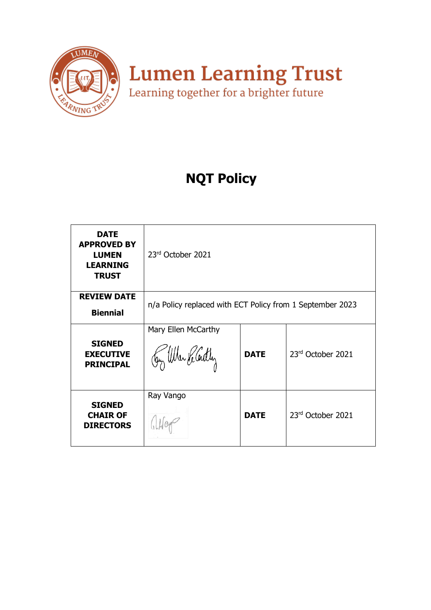

# **NQT Policy**

| <b>DATE</b><br><b>APPROVED BY</b><br><b>LUMEN</b><br><b>LEARNING</b><br><b>TRUST</b> | 23rd October 2021                                         |             |                   |
|--------------------------------------------------------------------------------------|-----------------------------------------------------------|-------------|-------------------|
| <b>REVIEW DATE</b><br><b>Biennial</b>                                                | n/a Policy replaced with ECT Policy from 1 September 2023 |             |                   |
| <b>SIGNED</b><br><b>EXECUTIVE</b><br><b>PRINCIPAL</b>                                | Mary Ellen McCarthy<br>Jay When He Cently                 | <b>DATE</b> | 23rd October 2021 |
| <b>SIGNED</b><br><b>CHAIR OF</b><br><b>DIRECTORS</b>                                 | Ray Vango                                                 | <b>DATE</b> | 23rd October 2021 |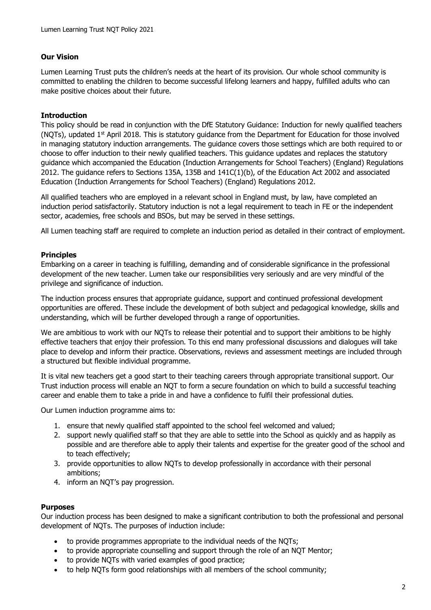# **Our Vision**

Lumen Learning Trust puts the children's needs at the heart of its provision. Our whole school community is committed to enabling the children to become successful lifelong learners and happy, fulfilled adults who can make positive choices about their future.

### **Introduction**

This policy should be read in conjunction with the DfE Statutory Guidance: Induction for newly qualified teachers (NQTs), updated 1<sup>st</sup> April 2018. This is statutory guidance from the Department for Education for those involved in managing statutory induction arrangements. The guidance covers those settings which are both required to or choose to offer induction to their newly qualified teachers. This guidance updates and replaces the statutory guidance which accompanied the Education (Induction Arrangements for School Teachers) (England) Regulations 2012. The guidance refers to Sections 135A, 135B and 141C(1)(b), of the Education Act 2002 and associated Education (Induction Arrangements for School Teachers) (England) Regulations 2012.

All qualified teachers who are employed in a relevant school in England must, by law, have completed an induction period satisfactorily. Statutory induction is not a legal requirement to teach in FE or the independent sector, academies, free schools and BSOs, but may be served in these settings.

All Lumen teaching staff are required to complete an induction period as detailed in their contract of employment.

### **Principles**

Embarking on a career in teaching is fulfilling, demanding and of considerable significance in the professional development of the new teacher. Lumen take our responsibilities very seriously and are very mindful of the privilege and significance of induction.

The induction process ensures that appropriate guidance, support and continued professional development opportunities are offered. These include the development of both subject and pedagogical knowledge, skills and understanding, which will be further developed through a range of opportunities.

We are ambitious to work with our NQTs to release their potential and to support their ambitions to be highly effective teachers that enjoy their profession. To this end many professional discussions and dialogues will take place to develop and inform their practice. Observations, reviews and assessment meetings are included through a structured but flexible individual programme.

It is vital new teachers get a good start to their teaching careers through appropriate transitional support. Our Trust induction process will enable an NQT to form a secure foundation on which to build a successful teaching career and enable them to take a pride in and have a confidence to fulfil their professional duties.

Our Lumen induction programme aims to:

- 1. ensure that newly qualified staff appointed to the school feel welcomed and valued;
- 2. support newly qualified staff so that they are able to settle into the School as quickly and as happily as possible and are therefore able to apply their talents and expertise for the greater good of the school and to teach effectively;
- 3. provide opportunities to allow NQTs to develop professionally in accordance with their personal ambitions;
- 4. inform an NQT's pay progression.

#### **Purposes**

Our induction process has been designed to make a significant contribution to both the professional and personal development of NQTs. The purposes of induction include:

- to provide programmes appropriate to the individual needs of the NQTs;
- to provide appropriate counselling and support through the role of an NQT Mentor;
- to provide NQTs with varied examples of good practice;
- to help NQTs form good relationships with all members of the school community;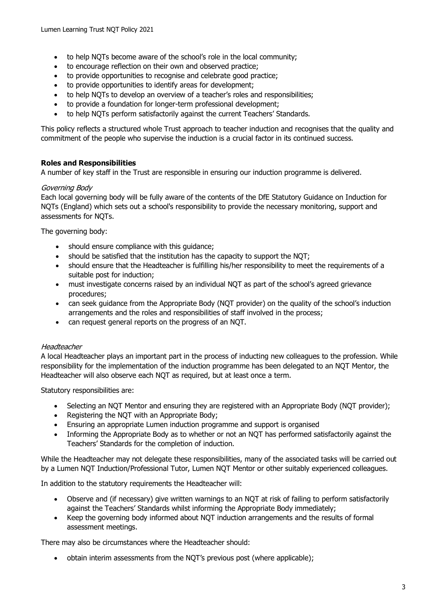- to help NQTs become aware of the school's role in the local community;
- to encourage reflection on their own and observed practice;
- to provide opportunities to recognise and celebrate good practice;
- to provide opportunities to identify areas for development;
- to help NOTs to develop an overview of a teacher's roles and responsibilities;
- to provide a foundation for longer-term professional development;
- to help NQTs perform satisfactorily against the current Teachers' Standards.

This policy reflects a structured whole Trust approach to teacher induction and recognises that the quality and commitment of the people who supervise the induction is a crucial factor in its continued success.

### **Roles and Responsibilities**

A number of key staff in the Trust are responsible in ensuring our induction programme is delivered.

### Governing Body

Each local governing body will be fully aware of the contents of the DfE Statutory Guidance on Induction for NQTs (England) which sets out a school's responsibility to provide the necessary monitoring, support and assessments for NQTs.

The governing body:

- should ensure compliance with this guidance;
- should be satisfied that the institution has the capacity to support the NQT;
- should ensure that the Headteacher is fulfilling his/her responsibility to meet the requirements of a suitable post for induction;
- must investigate concerns raised by an individual NQT as part of the school's agreed grievance procedures;
- can seek guidance from the Appropriate Body (NQT provider) on the quality of the school's induction arrangements and the roles and responsibilities of staff involved in the process;
- can request general reports on the progress of an NQT.

#### **Headteacher**

A local Headteacher plays an important part in the process of inducting new colleagues to the profession. While responsibility for the implementation of the induction programme has been delegated to an NQT Mentor, the Headteacher will also observe each NQT as required, but at least once a term.

Statutory responsibilities are:

- Selecting an NQT Mentor and ensuring they are registered with an Appropriate Body (NQT provider);
- Registering the NQT with an Appropriate Body;
- Ensuring an appropriate Lumen induction programme and support is organised
- Informing the Appropriate Body as to whether or not an NQT has performed satisfactorily against the Teachers' Standards for the completion of induction.

While the Headteacher may not delegate these responsibilities, many of the associated tasks will be carried out by a Lumen NQT Induction/Professional Tutor, Lumen NQT Mentor or other suitably experienced colleagues.

In addition to the statutory requirements the Headteacher will:

- Observe and (if necessary) give written warnings to an NQT at risk of failing to perform satisfactorily against the Teachers' Standards whilst informing the Appropriate Body immediately;
- Keep the governing body informed about NQT induction arrangements and the results of formal assessment meetings.

There may also be circumstances where the Headteacher should:

• obtain interim assessments from the NQT's previous post (where applicable);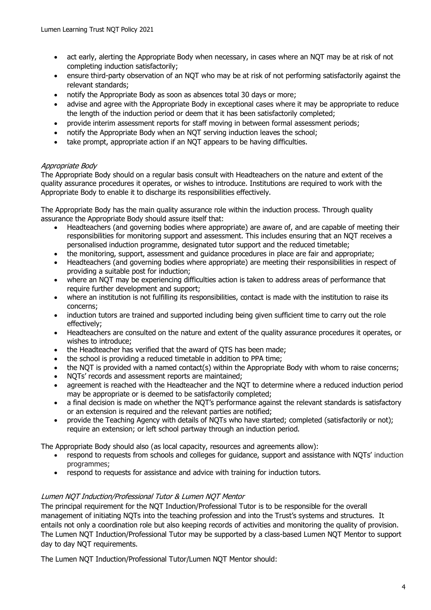- act early, alerting the Appropriate Body when necessary, in cases where an NQT may be at risk of not completing induction satisfactorily;
- ensure third-party observation of an NQT who may be at risk of not performing satisfactorily against the relevant standards;
- notify the Appropriate Body as soon as absences total 30 days or more;
- advise and agree with the Appropriate Body in exceptional cases where it may be appropriate to reduce the length of the induction period or deem that it has been satisfactorily completed;
- provide interim assessment reports for staff moving in between formal assessment periods;
- notify the Appropriate Body when an NQT serving induction leaves the school;
- take prompt, appropriate action if an NOT appears to be having difficulties.

# Appropriate Body

The Appropriate Body should on a regular basis consult with Headteachers on the nature and extent of the quality assurance procedures it operates, or wishes to introduce. Institutions are required to work with the Appropriate Body to enable it to discharge its responsibilities effectively.

The Appropriate Body has the main quality assurance role within the induction process. Through quality assurance the Appropriate Body should assure itself that:

- Headteachers (and governing bodies where appropriate) are aware of, and are capable of meeting their responsibilities for monitoring support and assessment. This includes ensuring that an NQT receives a personalised induction programme, designated tutor support and the reduced timetable;
- the monitoring, support, assessment and guidance procedures in place are fair and appropriate;
- Headteachers (and governing bodies where appropriate) are meeting their responsibilities in respect of providing a suitable post for induction;
- where an NQT may be experiencing difficulties action is taken to address areas of performance that require further development and support;
- where an institution is not fulfilling its responsibilities, contact is made with the institution to raise its concerns;
- induction tutors are trained and supported including being given sufficient time to carry out the role effectively;
- Headteachers are consulted on the nature and extent of the quality assurance procedures it operates, or wishes to introduce;
- the Headteacher has verified that the award of OTS has been made:
- the school is providing a reduced timetable in addition to PPA time;
- the NQT is provided with a named contact(s) within the Appropriate Body with whom to raise concerns;
- NQTs' records and assessment reports are maintained;
- agreement is reached with the Headteacher and the NQT to determine where a reduced induction period may be appropriate or is deemed to be satisfactorily completed;
- a final decision is made on whether the NQT's performance against the relevant standards is satisfactory or an extension is required and the relevant parties are notified;
- provide the Teaching Agency with details of NQTs who have started; completed (satisfactorily or not); require an extension; or left school partway through an induction period.

The Appropriate Body should also (as local capacity, resources and agreements allow):

- respond to requests from schools and colleges for guidance, support and assistance with NQTs' induction programmes;
- respond to requests for assistance and advice with training for induction tutors.

# Lumen NQT Induction/Professional Tutor & Lumen NQT Mentor

The principal requirement for the NQT Induction/Professional Tutor is to be responsible for the overall management of initiating NQTs into the teaching profession and into the Trust's systems and structures. It entails not only a coordination role but also keeping records of activities and monitoring the quality of provision. The Lumen NQT Induction/Professional Tutor may be supported by a class-based Lumen NQT Mentor to support day to day NQT requirements.

The Lumen NQT Induction/Professional Tutor/Lumen NQT Mentor should: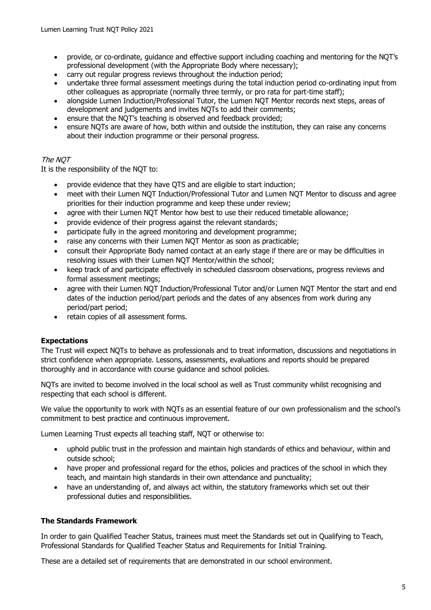- provide, or co-ordinate, guidance and effective support including coaching and mentoring for the NQT's professional development (with the Appropriate Body where necessary);
- carry out regular progress reviews throughout the induction period;
- undertake three formal assessment meetings during the total induction period co-ordinating input from other colleagues as appropriate (normally three termly, or pro rata for part-time staff);
- alongside Lumen Induction/Professional Tutor, the Lumen NQT Mentor records next steps, areas of development and judgements and invites NQTs to add their comments;
- ensure that the NQT's teaching is observed and feedback provided;
- ensure NQTs are aware of how, both within and outside the institution, they can raise any concerns about their induction programme or their personal progress.

# The NQT

It is the responsibility of the NQT to:

- provide evidence that they have QTS and are eligible to start induction;
- meet with their Lumen NQT Induction/Professional Tutor and Lumen NQT Mentor to discuss and agree priorities for their induction programme and keep these under review;
- agree with their Lumen NQT Mentor how best to use their reduced timetable allowance;
- provide evidence of their progress against the relevant standards;
- participate fully in the agreed monitoring and development programme;
- raise any concerns with their Lumen NQT Mentor as soon as practicable;
- consult their Appropriate Body named contact at an early stage if there are or may be difficulties in resolving issues with their Lumen NQT Mentor/within the school;
- keep track of and participate effectively in scheduled classroom observations, progress reviews and formal assessment meetings;
- agree with their Lumen NQT Induction/Professional Tutor and/or Lumen NQT Mentor the start and end dates of the induction period/part periods and the dates of any absences from work during any period/part period;
- retain copies of all assessment forms.

# **Expectations**

The Trust will expect NQTs to behave as professionals and to treat information, discussions and negotiations in strict confidence when appropriate. Lessons, assessments, evaluations and reports should be prepared thoroughly and in accordance with course guidance and school policies.

NQTs are invited to become involved in the local school as well as Trust community whilst recognising and respecting that each school is different.

We value the opportunity to work with NQTs as an essential feature of our own professionalism and the school's commitment to best practice and continuous improvement.

Lumen Learning Trust expects all teaching staff, NQT or otherwise to:

- uphold public trust in the profession and maintain high standards of ethics and behaviour, within and outside school;
- have proper and professional regard for the ethos, policies and practices of the school in which they teach, and maintain high standards in their own attendance and punctuality;
- have an understanding of, and always act within, the statutory frameworks which set out their professional duties and responsibilities.

# **The Standards Framework**

In order to gain Qualified Teacher Status, trainees must meet the Standards set out in Qualifying to Teach, Professional Standards for Qualified Teacher Status and Requirements for Initial Training.

These are a detailed set of requirements that are demonstrated in our school environment.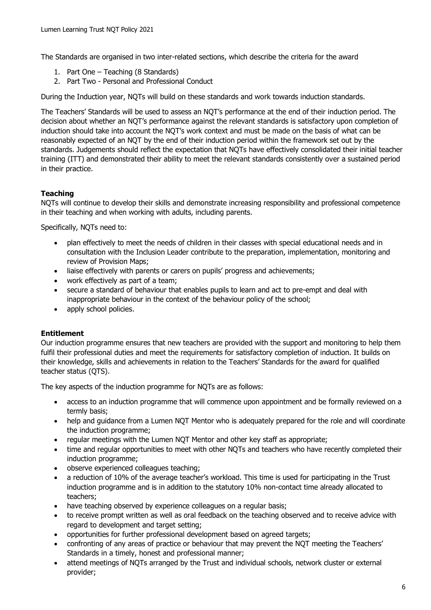The Standards are organised in two inter-related sections, which describe the criteria for the award

- 1. Part One Teaching (8 Standards)
- 2. Part Two Personal and Professional Conduct

During the Induction year, NQTs will build on these standards and work towards induction standards.

The Teachers' Standards will be used to assess an NQT's performance at the end of their induction period. The decision about whether an NQT's performance against the relevant standards is satisfactory upon completion of induction should take into account the NQT's work context and must be made on the basis of what can be reasonably expected of an NQT by the end of their induction period within the framework set out by the standards. Judgements should reflect the expectation that NQTs have effectively consolidated their initial teacher training (ITT) and demonstrated their ability to meet the relevant standards consistently over a sustained period in their practice.

### **Teaching**

NQTs will continue to develop their skills and demonstrate increasing responsibility and professional competence in their teaching and when working with adults, including parents.

Specifically, NQTs need to:

- plan effectively to meet the needs of children in their classes with special educational needs and in consultation with the Inclusion Leader contribute to the preparation, implementation, monitoring and review of Provision Maps;
- liaise effectively with parents or carers on pupils' progress and achievements;
- work effectively as part of a team;
- secure a standard of behaviour that enables pupils to learn and act to pre-empt and deal with inappropriate behaviour in the context of the behaviour policy of the school;
- apply school policies.

#### **Entitlement**

Our induction programme ensures that new teachers are provided with the support and monitoring to help them fulfil their professional duties and meet the requirements for satisfactory completion of induction. It builds on their knowledge, skills and achievements in relation to the Teachers' Standards for the award for qualified teacher status (QTS).

The key aspects of the induction programme for NQTs are as follows:

- access to an induction programme that will commence upon appointment and be formally reviewed on a termly basis;
- help and quidance from a Lumen NOT Mentor who is adequately prepared for the role and will coordinate the induction programme;
- regular meetings with the Lumen NQT Mentor and other key staff as appropriate;
- time and regular opportunities to meet with other NQTs and teachers who have recently completed their induction programme;
- observe experienced colleagues teaching;
- a reduction of 10% of the average teacher's workload. This time is used for participating in the Trust induction programme and is in addition to the statutory 10% non-contact time already allocated to teachers;
- have teaching observed by experience colleagues on a regular basis;
- to receive prompt written as well as oral feedback on the teaching observed and to receive advice with regard to development and target setting;
- opportunities for further professional development based on agreed targets;
- confronting of any areas of practice or behaviour that may prevent the NQT meeting the Teachers' Standards in a timely, honest and professional manner;
- attend meetings of NQTs arranged by the Trust and individual schools, network cluster or external provider;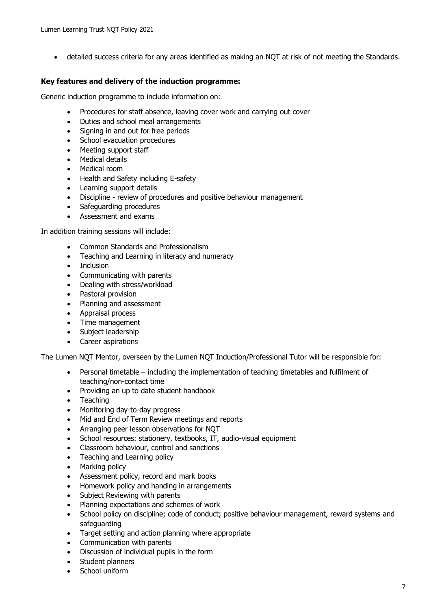• detailed success criteria for any areas identified as making an NQT at risk of not meeting the Standards.

## **Key features and delivery of the induction programme:**

Generic induction programme to include information on:

- Procedures for staff absence, leaving cover work and carrying out cover
- Duties and school meal arrangements
- Signing in and out for free periods
- School evacuation procedures
- Meeting support staff
- Medical details
- Medical room
- Health and Safety including E-safety
- Learning support details
- Discipline review of procedures and positive behaviour management
- Safeguarding procedures
- Assessment and exams

In addition training sessions will include:

- Common Standards and Professionalism
- Teaching and Learning in literacy and numeracy
- Inclusion
- Communicating with parents
- Dealing with stress/workload
- Pastoral provision
- Planning and assessment
- Appraisal process
- Time management
- Subject leadership
- Career aspirations

The Lumen NQT Mentor, overseen by the Lumen NQT Induction/Professional Tutor will be responsible for:

- Personal timetable including the implementation of teaching timetables and fulfilment of teaching/non-contact time
- Providing an up to date student handbook
- **Teaching**
- Monitoring day-to-day progress
- Mid and End of Term Review meetings and reports
- Arranging peer lesson observations for NQT
- School resources: stationery, textbooks, IT, audio-visual equipment
- Classroom behaviour, control and sanctions
- Teaching and Learning policy
- Marking policy
- Assessment policy, record and mark books
- Homework policy and handing in arrangements
- Subject Reviewing with parents
- Planning expectations and schemes of work
- School policy on discipline; code of conduct; positive behaviour management, reward systems and safeguarding
- Target setting and action planning where appropriate
- Communication with parents
- Discussion of individual pupils in the form
- Student planners
- School uniform